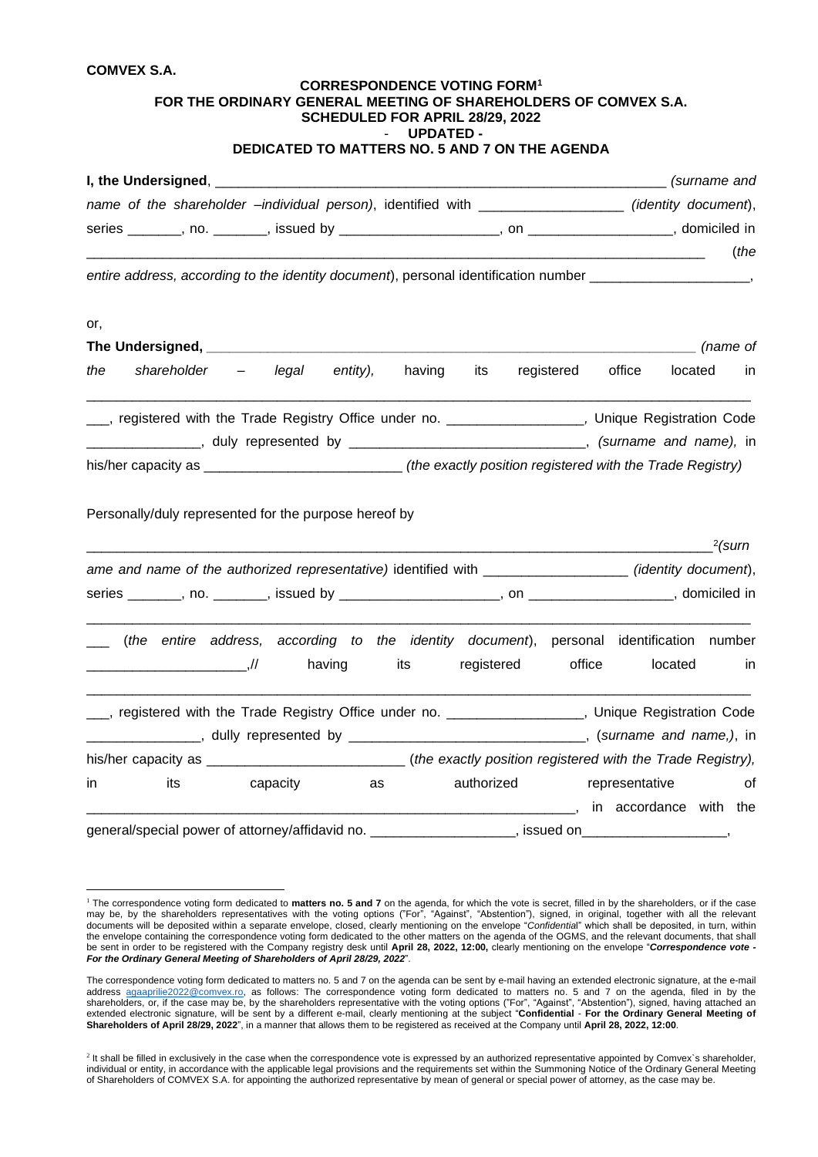## **COMVEX S.A.**

| <b>COMVEX S.A.</b>                                                                                                    |     | FOR THE ORDINARY GENERAL MEETING OF SHAREHOLDERS OF COMVEX S.A.                                                                                                                                                    | <b>CORRESPONDENCE VOTING FORM1</b><br>SCHEDULED FOR APRIL 28/29, 2022 |                  |            |            |                                                                             |                                 |           |
|-----------------------------------------------------------------------------------------------------------------------|-----|--------------------------------------------------------------------------------------------------------------------------------------------------------------------------------------------------------------------|-----------------------------------------------------------------------|------------------|------------|------------|-----------------------------------------------------------------------------|---------------------------------|-----------|
|                                                                                                                       |     | DEDICATED TO MATTERS NO. 5 AND 7 ON THE AGENDA                                                                                                                                                                     |                                                                       | <b>UPDATED -</b> |            |            |                                                                             |                                 |           |
|                                                                                                                       |     |                                                                                                                                                                                                                    |                                                                       |                  |            |            |                                                                             |                                 |           |
| name of the shareholder -individual person), identified with __________________(identity document),                   |     |                                                                                                                                                                                                                    |                                                                       |                  |            |            |                                                                             |                                 |           |
|                                                                                                                       |     |                                                                                                                                                                                                                    |                                                                       |                  |            |            |                                                                             |                                 |           |
|                                                                                                                       |     | entire address, according to the identity document), personal identification number _____________________,                                                                                                         |                                                                       |                  |            |            | <u> 1980 - John Stein, Amerikaansk politiker (* 1918)</u>                   |                                 | the (     |
| or,                                                                                                                   |     |                                                                                                                                                                                                                    |                                                                       |                  |            |            |                                                                             |                                 |           |
|                                                                                                                       |     |                                                                                                                                                                                                                    |                                                                       |                  |            |            |                                                                             | $\frac{1}{\sqrt{1-x}}$ (name of |           |
| the                                                                                                                   |     | shareholder – legal entity), having its                                                                                                                                                                            |                                                                       |                  |            | registered | office                                                                      | located in                      |           |
|                                                                                                                       |     | registered with the Trade Registry Office under no. ___________________, Unique Registration Code<br>his/her capacity as ________________________________(the exactly position registered with the Trade Registry) |                                                                       |                  |            |            |                                                                             |                                 |           |
|                                                                                                                       |     | Personally/duly represented for the purpose hereof by                                                                                                                                                              |                                                                       |                  |            |            |                                                                             |                                 | $2$ (surn |
|                                                                                                                       |     | ame and name of the authorized representative) identified with ___________________(identity document),                                                                                                             |                                                                       |                  |            |            |                                                                             |                                 |           |
|                                                                                                                       |     |                                                                                                                                                                                                                    |                                                                       |                  |            |            |                                                                             |                                 |           |
| <u> 2008 - Jan James James James James James James James James James James James James James James James James Ja</u> |     | (the entire address, according to the identity document), personal identification number<br>,//                                                                                                                    | having                                                                | its              | registered |            | office                                                                      | located                         | in        |
|                                                                                                                       |     | ___, registered with the Trade Registry Office under no. _________________, Unique Registration Code                                                                                                               |                                                                       |                  |            |            |                                                                             |                                 |           |
|                                                                                                                       |     | _________________, dully represented by __________________________________, (surname and name,), in                                                                                                                |                                                                       |                  |            |            |                                                                             |                                 |           |
|                                                                                                                       |     |                                                                                                                                                                                                                    |                                                                       |                  |            |            |                                                                             |                                 |           |
| in                                                                                                                    | its | capacity                                                                                                                                                                                                           | as                                                                    |                  | authorized |            | representative<br><u>_________________________</u> , in accordance with the |                                 | οf        |
|                                                                                                                       |     | general/special power of attorney/affidavid no. ____________________, issued on__________________,                                                                                                                 |                                                                       |                  |            |            |                                                                             |                                 |           |

<sup>1</sup> The correspondence voting form dedicated to **matters no. 5 and 7** on the agenda, for which the vote is secret, filled in by the shareholders, or if the case may be, by the shareholders representatives with the voting options ("For", "Against", "Abstention"), signed, in original, together with all the relevant documents will be deposited within a separate envelope, closed, clearly mentioning on the envelope "*Confidentia*l" which shall be deposited, in turn, within the envelope containing the correspondence voting form dedicated to the other matters on the agenda of the OGMS, and the relevant documents, that shall be sent in order to be registered with the Company registry desk until **April 28, 2022, 12:00,** clearly mentioning on the envelope "*Correspondence vote - For the Ordinary General Meeting of Shareholders of April 28/29, 2022*".

The correspondence voting form dedicated to matters no. 5 and 7 on the agenda can be sent by e-mail having an extended electronic signature, at the e-mail address [agaaprilie2022@comvex.ro,](mailto:agaaprilie2022@comvex.ro) as follows: The correspondence voting form dedicated to matters no. 5 and 7 on the agenda, filed in by the shareholders, or, if the case may be, by the shareholders representative with the voting options ("For", "Against", "Abstention"), signed, having attached an extended electronic signature, will be sent by a different e-mail, clearly mentioning at the subject "**Confidential** - **For the Ordinary General Meeting of Shareholders of April 28/29, 2022**", in a manner that allows them to be registered as received at the Company until **April 28, 2022, 12:00**.

<sup>&</sup>lt;sup>2</sup> It shall be filled in exclusively in the case when the correspondence vote is expressed by an authorized representative appointed by Comvex's shareholder, individual or entity, in accordance with the applicable legal provisions and the requirements set within the Summoning Notice of the Ordinary General Meeting of Shareholders of COMVEX S.A. for appointing the authorized representative by mean of general or special power of attorney, as the case may be.